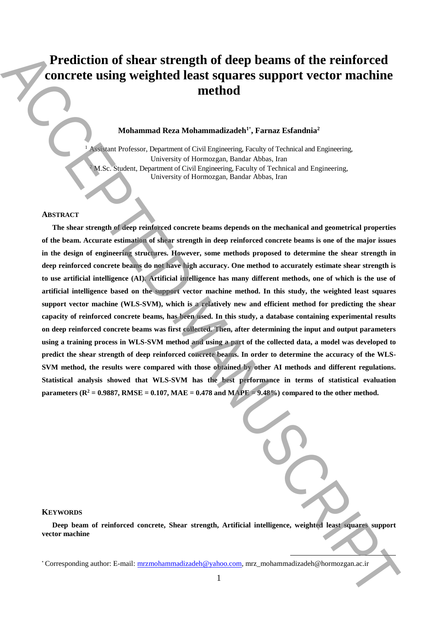# **Prediction of shear strength of deep beams of the reinforced concrete using weighted least squares support vector machine method**

# **Mohammad Reza Mohammadizadeh<sup>1</sup>**\* **, Farnaz Esfandnia<sup>2</sup>**

<sup>1</sup> Assistant Professor, Department of Civil Engineering, Faculty of Technical and Engineering, University of Hormozgan, Bandar Abbas, Iran M.Sc. Student, Department of Civil Engineering, Faculty of Technical and Engineering, University of Hormozgan, Bandar Abbas, Iran

#### **ABSTRACT**

**The shear strength of deep reinforced concrete beams depends on the mechanical and geometrical properties of the beam. Accurate estimation of shear strength in deep reinforced concrete beams is one of the major issues in the design of engineering structures. However, some methods proposed to determine the shear strength in deep reinforced concrete beams do not have high accuracy. One method to accurately estimate shear strength is to use artificial intelligence (AI). Artificial intelligence has many different methods, one of which is the use of artificial intelligence based on the support vector machine method. In this study, the weighted least squares support vector machine (WLS-SVM), which is a relatively new and efficient method for predicting the shear capacity of reinforced concrete beams, has been used. In this study, a database containing experimental results on deep reinforced concrete beams was first collected. Then, after determining the input and output parameters using a training process in WLS-SVM method and using a part of the collected data, a model was developed to predict the shear strength of deep reinforced concrete beams. In order to determine the accuracy of the WLS-SVM method, the results were compared with those obtained by other AI methods and different regulations. Statistical analysis showed that WLS-SVM has the best performance in terms of statistical evaluation parameters (** $\mathbb{R}^2 = 0.9887$ **, RMSE = 0.107, MAE = 0.478 and MAPE = 9.48%)** compared to the other method. **Prediction of shear strength of deep beams of the reinforced contract and model and steady and model and steady authorities are all the steady of the model and the steady of the model and the steady of the steady of the** 

**.** 

#### **KEYWORDS**

**Deep beam of reinforced concrete, Shear strength, Artificial intelligence, weighted least squares support vector machine**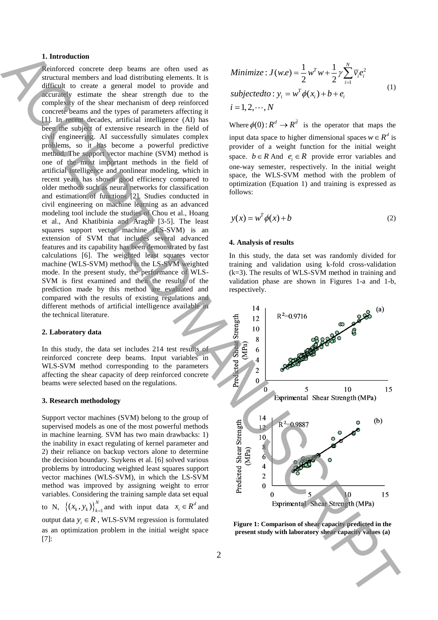# **1. Introduction**

Reinforced concrete deep beams are often used as structural members and load distributing elements. It is difficult to create a general model to provide and accurately estimate the shear strength due to the complexity of the shear mechanism of deep reinforced concrete beams and the types of parameters affecting it [1]. In recent decades, artificial intelligence (AI) has been the subject of extensive research in the field of civil engineering. AI successfully simulates complex problems, so it has become a powerful predictive method. The support vector machine (SVM) method is one of the most important methods in the field of artificial intelligence and nonlinear modeling, which in recent years has shown good efficiency compared to older methods such as neural networks for classification and estimation of functions [2]. Studies conducted in civil engineering on machine learning as an advanced modeling tool include the studies of Chou et al., Hoang et al., And Khatibinia and Araghi [3-5]. The least squares support vector machine (LS-SVM) is an extension of SVM that includes several advanced features and its capability has been demonstrated by fast calculations [6]. The weighted least squares vector machine (WLS-SVM) method is the LS-SVM weighted mode. In the present study, the performance of WLS-SVM is first examined and then the results of the prediction made by this method are evaluated and compared with the results of existing regulations and different methods of artificial intelligence available in the technical literature. **present study with laboratory in the experimental capacity in the experimental capacity in the experimental capacity in the experimental capacity of the experimental capacity of the experimental capacity of the experimen** 

#### **2. Laboratory data**

In this study, the data set includes 214 test results of reinforced concrete deep beams. Input variables in WLS-SVM method corresponding to the parameters affecting the shear capacity of deep reinforced concrete beams were selected based on the regulations.

#### **3. Research methodology**

Support vector machines (SVM) belong to the group of supervised models as one of the most powerful methods in machine learning. SVM has two main drawbacks: 1) the inability in exact regulating of kernel parameter and 2) their reliance on backup vectors alone to determine the decision boundary. Suykens et al. [6] solved various problems by introducing weighted least squares support vector machines (WLS-SVM), in which the LS-SVM method was improved by assigning weight to error variables. Considering the training sample data set equal to N,  $\left\{ (x_k, y_k) \right\}_{k=1}^N$  and with input data  $x_i \in R^d$  and output data  $y_i \in R$ , WLS-SVM regression is formulated as an optimization problem in the initial weight space [7]:

Minimize: 
$$
J(w.e) = \frac{1}{2} w^T w + \frac{1}{2} \gamma \sum_{i=1}^{N} \overline{v}_i e_i^2
$$
  
subjectedto:  $y_i = w^T \phi(x_i) + b + e_i$   
 $i = 1, 2, \dots, N$  (1)

Where  $\phi(0)$ :  $R^d \rightarrow R^d$  is the operator that maps the input data space to higher dimensional spaces  $w \in R^d$  is provider of a weight function for the initial weight space.  $b \in R$  And  $e_i \in R$  provide error variables and one-way semester, respectively. In the initial weight space, the WLS-SVM method with the problem of optimization (Equation 1) and training is expressed as follows:

$$
y(x) = w^T \phi(x) + b \tag{2}
$$

### **4. Analysis of results**

In this study, the data set was randomly divided for training and validation using k-fold cross-validation (k=3). The results of WLS-SVM method in training and validation phase are shown in Figures 1-a and 1-b, respectively.



**Figure 1: Comparison of shear capacity predicted in the**